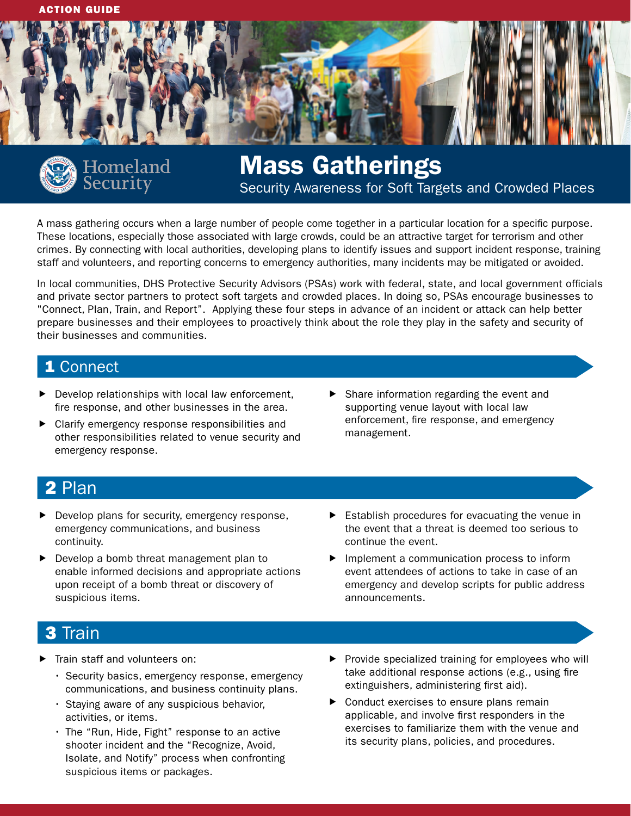



# Homeland<br>Security

# Mass Gatherings Security Awareness for Soft Targets and Crowded Places

A mass gathering occurs when a large number of people come together in a particular location for a specific purpose. These locations, especially those associated with large crowds, could be an attractive target for terrorism and other crimes. By connecting with local authorities, developing plans to identify issues and support incident response, training staff and volunteers, and reporting concerns to emergency authorities, many incidents may be mitigated or avoided.

In local communities, DHS Protective Security Advisors (PSAs) work with federal, state, and local government officials and private sector partners to protect soft targets and crowded places. In doing so, PSAs encourage businesses to "Connect, PIan, Train, and Report". Applying these four steps in advance of an incident or attack can help better prepare businesses and their employees to proactively think about the role they play in the safety and security of their businesses and communities.

## 1 Connect

- Develop relationships with local law enforcement, fire response, and other businesses in the area.
- Clarify emergency response responsibilities and other responsibilities related to venue security and emergency response.
- $\blacktriangleright$  Share information regarding the event and supporting venue layout with local law enforcement, fire response, and emergency management.

# 2 Plan

- $\blacktriangleright$  Develop plans for security, emergency response, emergency communications, and business continuity.
- $\blacktriangleright$  Develop a bomb threat management plan to enable informed decisions and appropriate actions upon receipt of a bomb threat or discovery of suspicious items.
- $\blacktriangleright$  Establish procedures for evacuating the venue in the event that a threat is deemed too serious to continue the event.
- $\blacktriangleright$  Implement a communication process to inform event attendees of actions to take in case of an emergency and develop scripts for public address announcements.

# 3 Train

- Train staff and volunteers on:
	- Security basics, emergency response, emergency communications, and business continuity plans.
	- Staying aware of any suspicious behavior, activities, or items.
	- The "Run, Hide, Fight" response to an active shooter incident and the "Recognize, Avoid, Isolate, and Notify" process when confronting suspicious items or packages.
- $\blacktriangleright$  Provide specialized training for employees who will take additional response actions (e.g., using fire extinguishers, administering first aid).
- $\triangleright$  Conduct exercises to ensure plans remain applicable, and involve first responders in the exercises to familiarize them with the venue and its security plans, policies, and procedures.